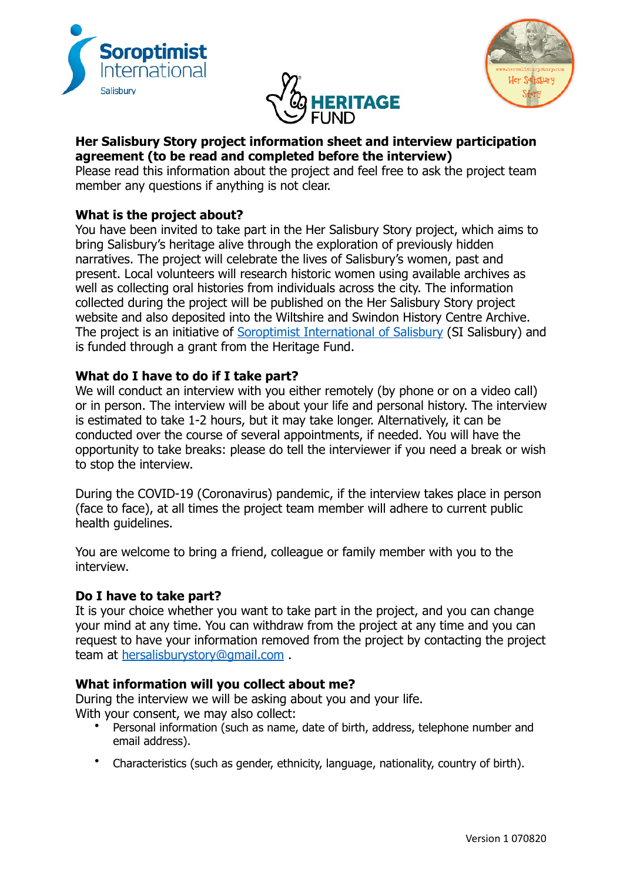





# **Her Salisbury Story project information sheet and interview participation agreement (to be read and completed before the interview)**

Please read this information about the project and feel free to ask the project team member any questions if anything is not clear.

# **What is the project about?**

You have been invited to take part in the Her Salisbury Story project, which aims to bring Salisbury's heritage alive through the exploration of previously hidden narratives. The project will celebrate the lives of Salisbury's women, past and present. Local volunteers will research historic women using available archives as well as collecting oral histories from individuals across the city. The information collected during the project will be published on the Her Salisbury Story project website and also deposited into the Wiltshire and Swindon History Centre Archive. The project is an initiative of [Soroptimist International of Salisbury](https://sigbi.org/salisbury/) (SI Salisbury) and is funded through a grant from the Heritage Fund.

# **What do I have to do if I take part?**

We will conduct an interview with you either remotely (by phone or on a video call) or in person. The interview will be about your life and personal history. The interview is estimated to take 1-2 hours, but it may take longer. Alternatively, it can be conducted over the course of several appointments, if needed. You will have the opportunity to take breaks: please do tell the interviewer if you need a break or wish to stop the interview.

During the COVID-19 (Coronavirus) pandemic, if the interview takes place in person (face to face), at all times the project team member will adhere to current public health guidelines.

You are welcome to bring a friend, colleague or family member with you to the interview.

## **Do I have to take part?**

It is your choice whether you want to take part in the project, and you can change your mind at any time. You can withdraw from the project at any time and you can request to have your information removed from the project by contacting the project team at hersalisburystory@gmail.com .

## **What information will you collect about me?**

During the interview we will be asking about you and your life. With your consent, we may also collect:

- Personal information (such as name, date of birth, address, telephone number and email address).
- Characteristics (such as gender, ethnicity, language, nationality, country of birth).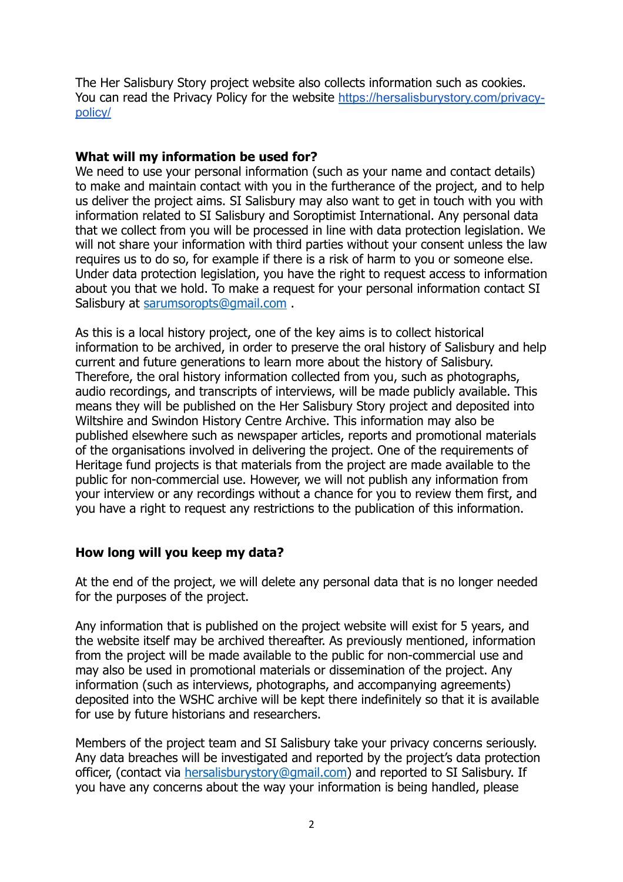The Her Salisbury Story project website also collects information such as cookies. You can read the Privacy Policy for the website [https://hersalisburystory.com/privacy](https://hersalisburystory.com/privacy-policy/)[policy/](https://hersalisburystory.com/privacy-policy/)

#### **What will my information be used for?**

We need to use your personal information (such as your name and contact details) to make and maintain contact with you in the furtherance of the project, and to help us deliver the project aims. SI Salisbury may also want to get in touch with you with information related to SI Salisbury and Soroptimist International. Any personal data that we collect from you will be processed in line with data protection legislation. We will not share your information with third parties without your consent unless the law requires us to do so, for example if there is a risk of harm to you or someone else. Under data protection legislation, you have the right to request access to information about you that we hold. To make a request for your personal information contact SI Salisbury at sarumsoropts@gmail.com .

As this is a local history project, one of the key aims is to collect historical information to be archived, in order to preserve the oral history of Salisbury and help current and future generations to learn more about the history of Salisbury. Therefore, the oral history information collected from you, such as photographs, audio recordings, and transcripts of interviews, will be made publicly available. This means they will be published on the Her Salisbury Story project and deposited into Wiltshire and Swindon History Centre Archive. This information may also be published elsewhere such as newspaper articles, reports and promotional materials of the organisations involved in delivering the project. One of the requirements of Heritage fund projects is that materials from the project are made available to the public for non-commercial use. However, we will not publish any information from your interview or any recordings without a chance for you to review them first, and you have a right to request any restrictions to the publication of this information.

#### **How long will you keep my data?**

At the end of the project, we will delete any personal data that is no longer needed for the purposes of the project.

Any information that is published on the project website will exist for 5 years, and the website itself may be archived thereafter. As previously mentioned, information from the project will be made available to the public for non-commercial use and may also be used in promotional materials or dissemination of the project. Any information (such as interviews, photographs, and accompanying agreements) deposited into the WSHC archive will be kept there indefinitely so that it is available for use by future historians and researchers.

Members of the project team and SI Salisbury take your privacy concerns seriously. Any data breaches will be investigated and reported by the project's data protection officer, (contact via [hersalisburystory@gmail.com](mailto:hersalisburystory@gmail.com)) and reported to SI Salisbury. If you have any concerns about the way your information is being handled, please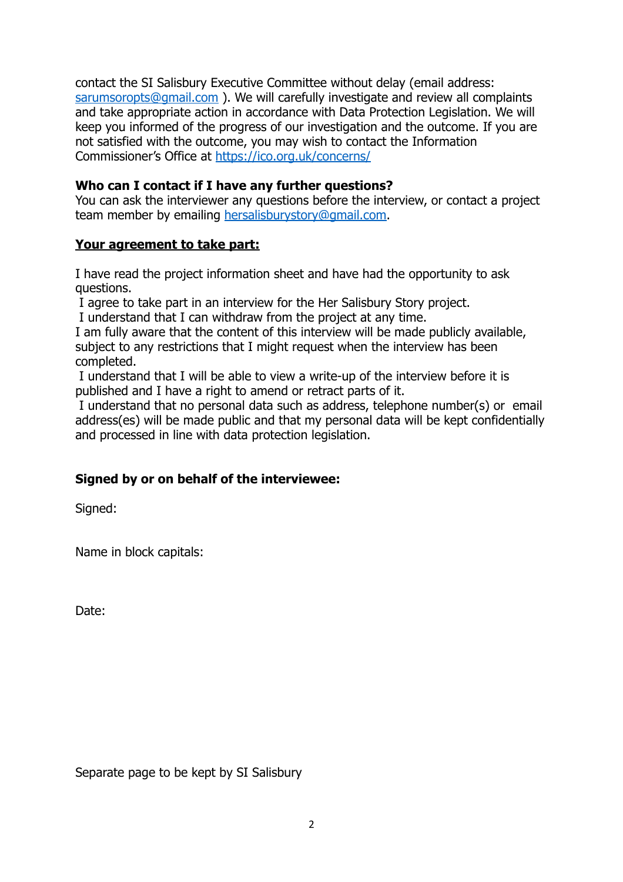contact the SI Salisbury Executive Committee without delay (email address: sarumsoropts@gmail.com ). We will carefully investigate and review all complaints and take appropriate action in accordance with Data Protection Legislation. We will keep you informed of the progress of our investigation and the outcome. If you are not satisfied with the outcome, you may wish to contact the Information Commissioner's Office at https://ico.org.uk/concerns/

# **Who can I contact if I have any further questions?**

You can ask the interviewer any questions before the interview, or contact a project team member by emailing hersalisburystory@gmail.com.

## **Your agreement to take part:**

I have read the project information sheet and have had the opportunity to ask questions.

I agree to take part in an interview for the Her Salisbury Story project.

I understand that I can withdraw from the project at any time.

I am fully aware that the content of this interview will be made publicly available, subject to any restrictions that I might request when the interview has been completed.

 I understand that I will be able to view a write-up of the interview before it is published and I have a right to amend or retract parts of it.

 I understand that no personal data such as address, telephone number(s) or email address(es) will be made public and that my personal data will be kept confidentially and processed in line with data protection legislation.

## **Signed by or on behalf of the interviewee:**

Signed:

Name in block capitals:

Date:

Separate page to be kept by SI Salisbury